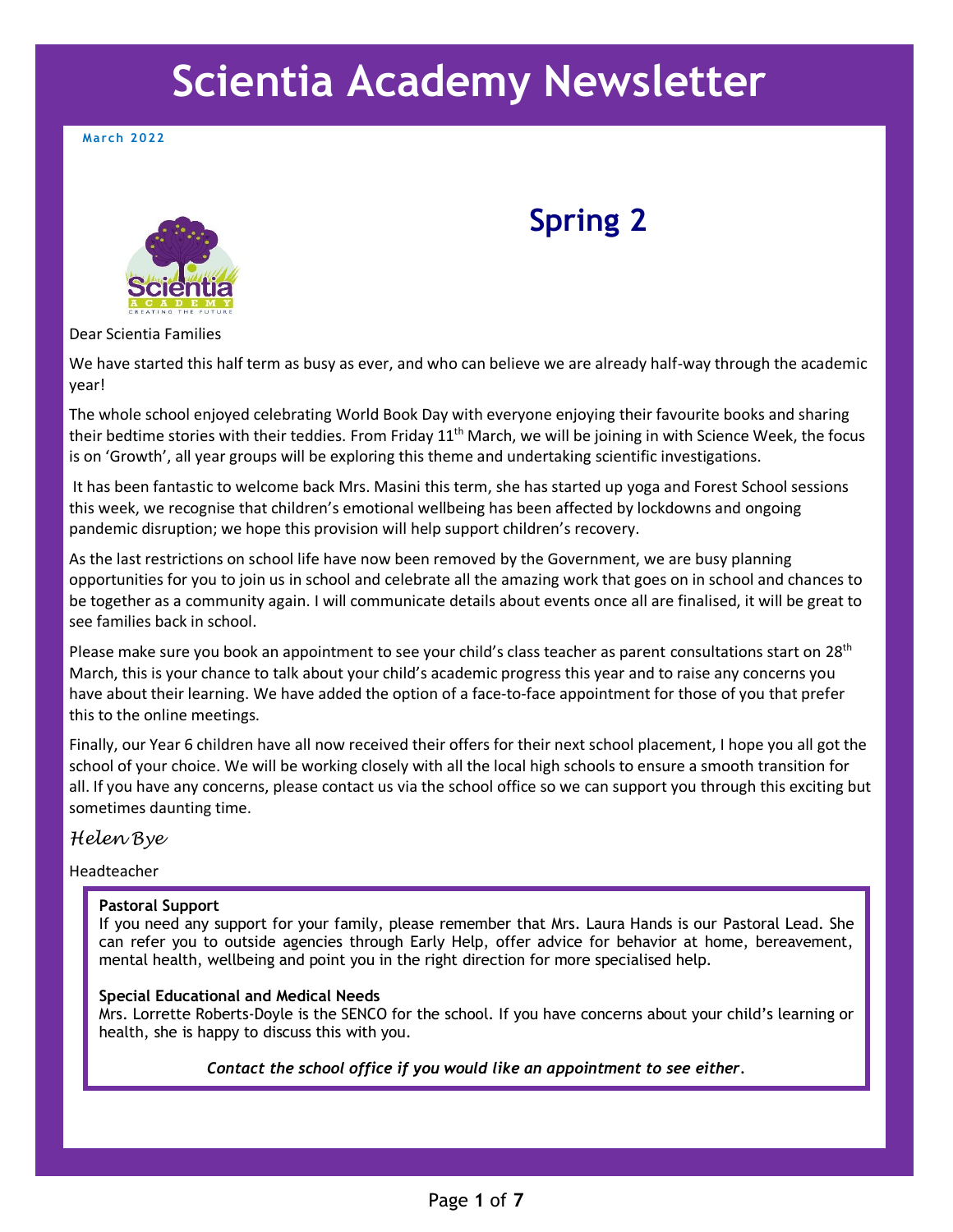# **Scientia Academy Newsletter**

**March 2022**



# **Spring 2**

Dear Scientia Families

We have started this half term as busy as ever, and who can believe we are already half-way through the academic year!

The whole school enjoyed celebrating World Book Day with everyone enjoying their favourite books and sharing their bedtime stories with their teddies. From Friday 11<sup>th</sup> March, we will be joining in with Science Week, the focus is on 'Growth', all year groups will be exploring this theme and undertaking scientific investigations.

It has been fantastic to welcome back Mrs. Masini this term, she has started up yoga and Forest School sessions this week, we recognise that children's emotional wellbeing has been affected by lockdowns and ongoing pandemic disruption; we hope this provision will help support children's recovery.

As the last restrictions on school life have now been removed by the Government, we are busy planning opportunities for you to join us in school and celebrate all the amazing work that goes on in school and chances to be together as a community again. I will communicate details about events once all are finalised, it will be great to see families back in school.

Please make sure you book an appointment to see your child's class teacher as parent consultations start on 28<sup>th</sup> March, this is your chance to talk about your child's academic progress this year and to raise any concerns you have about their learning. We have added the option of a face-to-face appointment for those of you that prefer this to the online meetings.

Finally, our Year 6 children have all now received their offers for their next school placement, I hope you all got the school of your choice. We will be working closely with all the local high schools to ensure a smooth transition for all. If you have any concerns, please contact us via the school office so we can support you through this exciting but sometimes daunting time.

#### *Helen Bye*

Headteacher

#### **Pastoral Support**

If you need any support for your family, please remember that Mrs. Laura Hands is our Pastoral Lead. She can refer you to outside agencies through Early Help, offer advice for behavior at home, bereavement, mental health, wellbeing and point you in the right direction for more specialised help.

#### **Special Educational and Medical Needs**

Mrs. Lorrette Roberts-Doyle is the SENCO for the school. If you have concerns about your child's learning or health, she is happy to discuss this with you.

*Contact the school office if you would like an appointment to see either.*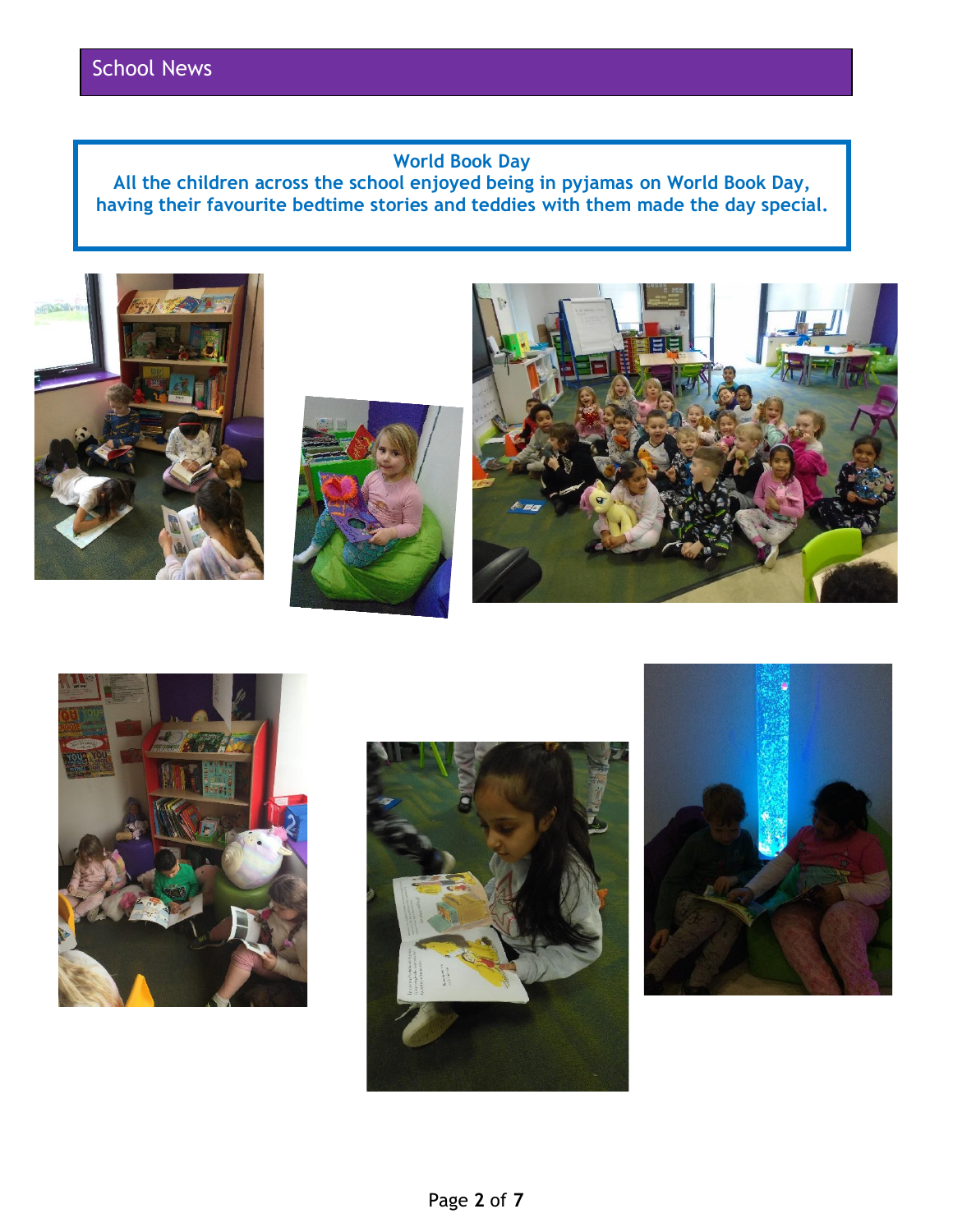# **World Book Day**

**All the children across the school enjoyed being in pyjamas on World Book Day, having their favourite bedtime stories and teddies with them made the day special.**











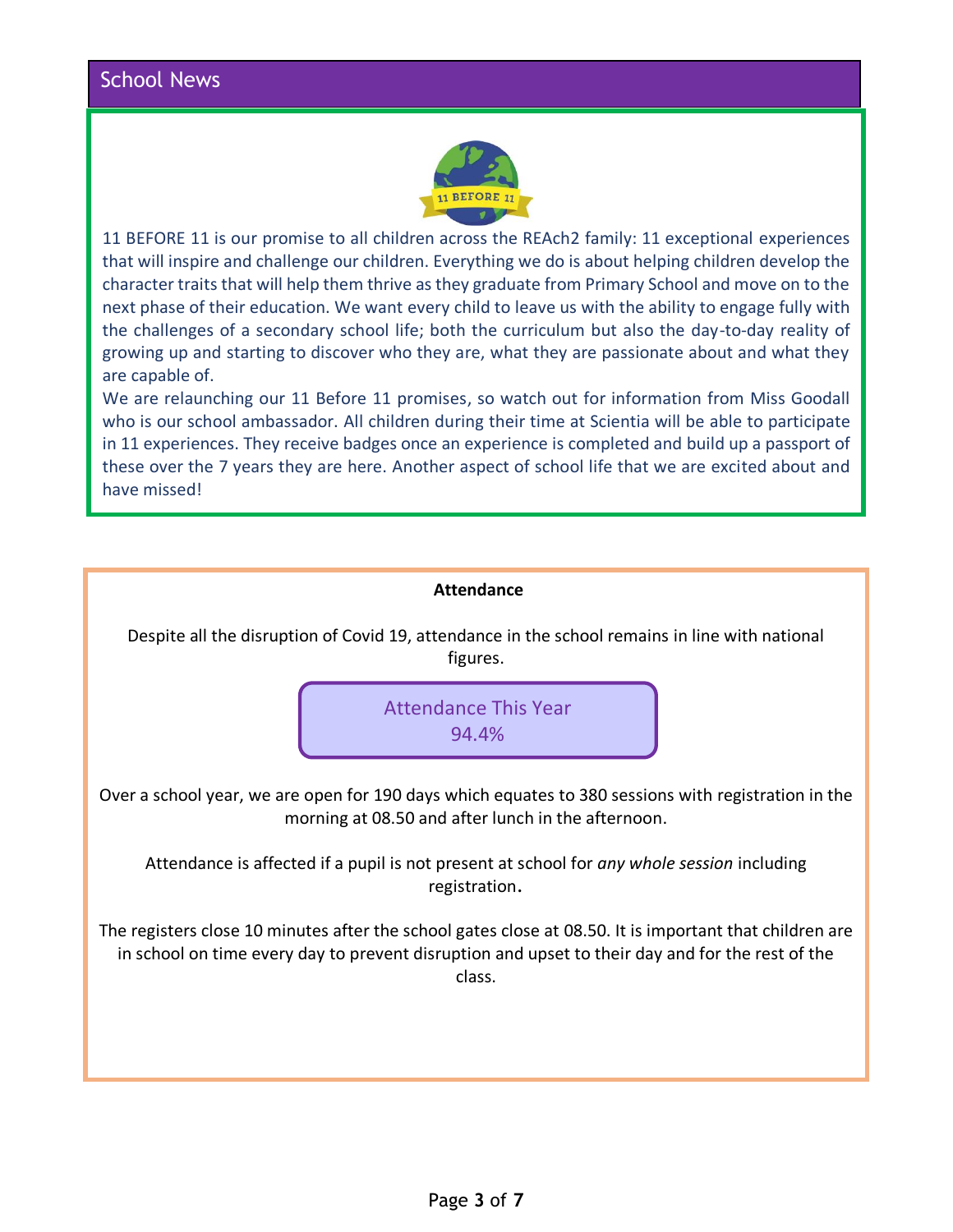

11 BEFORE 11 is our promise to all children across the REAch2 family: 11 exceptional experiences that will inspire and challenge our children. Everything we do is about helping children develop the character traits that will help them thrive as they graduate from Primary School and move on to the next phase of their education. We want every child to leave us with the ability to engage fully with the challenges of a secondary school life; both the curriculum but also the day-to-day reality of growing up and starting to discover who they are, what they are passionate about and what they are capable of.

We are relaunching our 11 Before 11 promises, so watch out for information from Miss Goodall who is our school ambassador. All children during their time at Scientia will be able to participate in 11 experiences. They receive badges once an experience is completed and build up a passport of these over the 7 years they are here. Another aspect of school life that we are excited about and have missed!

| <b>Attendance</b>                                                                                                                                                                                                     |
|-----------------------------------------------------------------------------------------------------------------------------------------------------------------------------------------------------------------------|
| Despite all the disruption of Covid 19, attendance in the school remains in line with national<br>figures.                                                                                                            |
| <b>Attendance This Year</b><br>94.4%                                                                                                                                                                                  |
| Over a school year, we are open for 190 days which equates to 380 sessions with registration in the<br>morning at 08.50 and after lunch in the afternoon.                                                             |
| Attendance is affected if a pupil is not present at school for any whole session including<br>registration.                                                                                                           |
| The registers close 10 minutes after the school gates close at 08.50. It is important that children are<br>in school on time every day to prevent disruption and upset to their day and for the rest of the<br>class. |
|                                                                                                                                                                                                                       |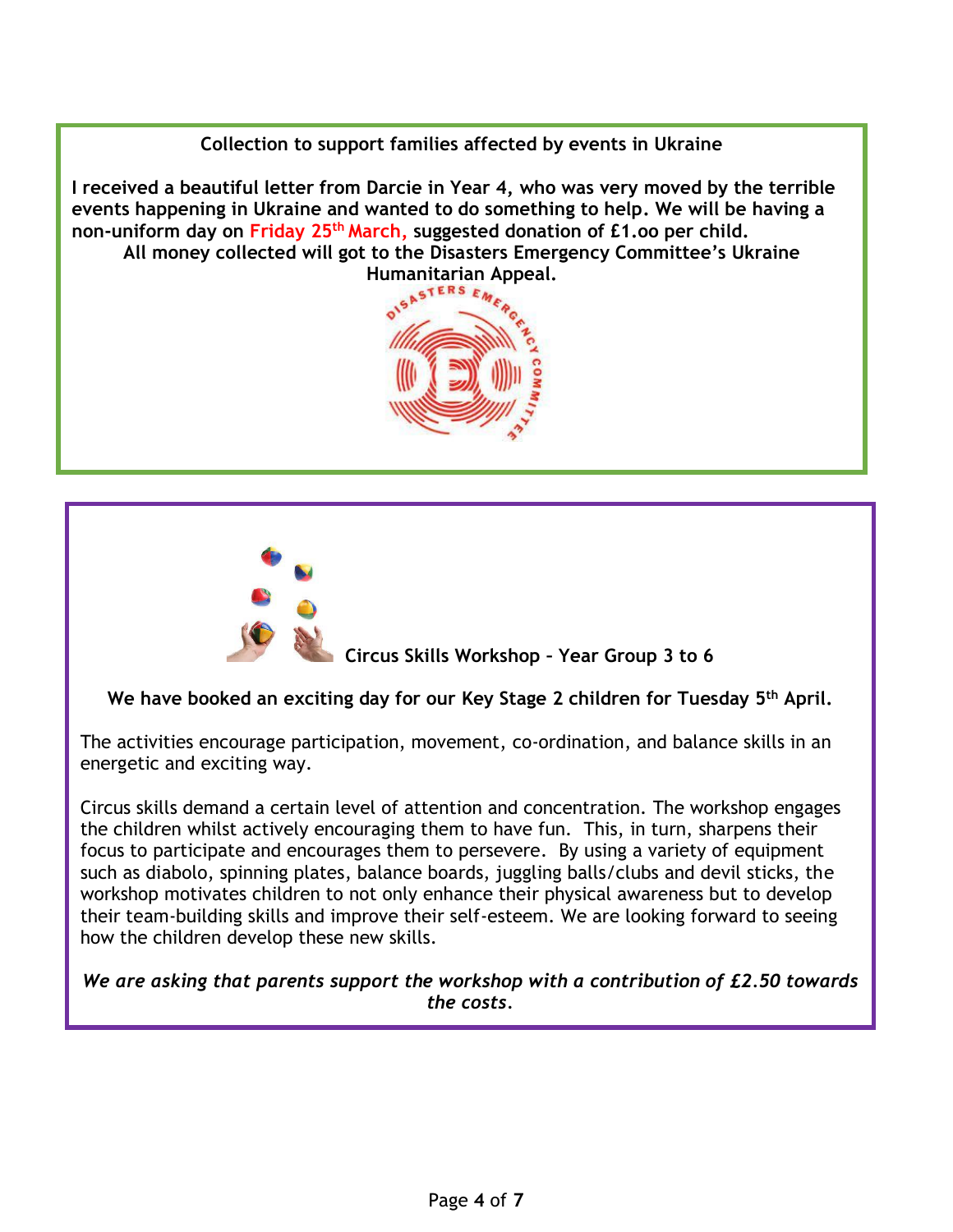**Collection to support families affected by events in Ukraine**

**I received a beautiful letter from Darcie in Year 4, who was very moved by the terrible events happening in Ukraine and wanted to do something to help. We will be having a non-uniform day on Friday 25th March, suggested donation of £1.oo per child. All money collected will got to the Disasters Emergency Committee's Ukraine** 





 **Circus Skills Workshop – Year Group 3 to 6**

**We have booked an exciting day for our Key Stage 2 children for Tuesday 5th April.**

The activities encourage participation, movement, co-ordination, and balance skills in an energetic and exciting way.

Circus skills demand a certain level of attention and concentration. The workshop engages the children whilst actively encouraging them to have fun. This, in turn, sharpens their focus to participate and encourages them to persevere. By using a variety of equipment such as diabolo, spinning plates, balance boards, juggling balls/clubs and devil sticks, the workshop motivates children to not only enhance their physical awareness but to develop their team-building skills and improve their self-esteem. We are looking forward to seeing how the children develop these new skills.

*We are asking that parents support the workshop with a contribution of £2.50 towards the costs.*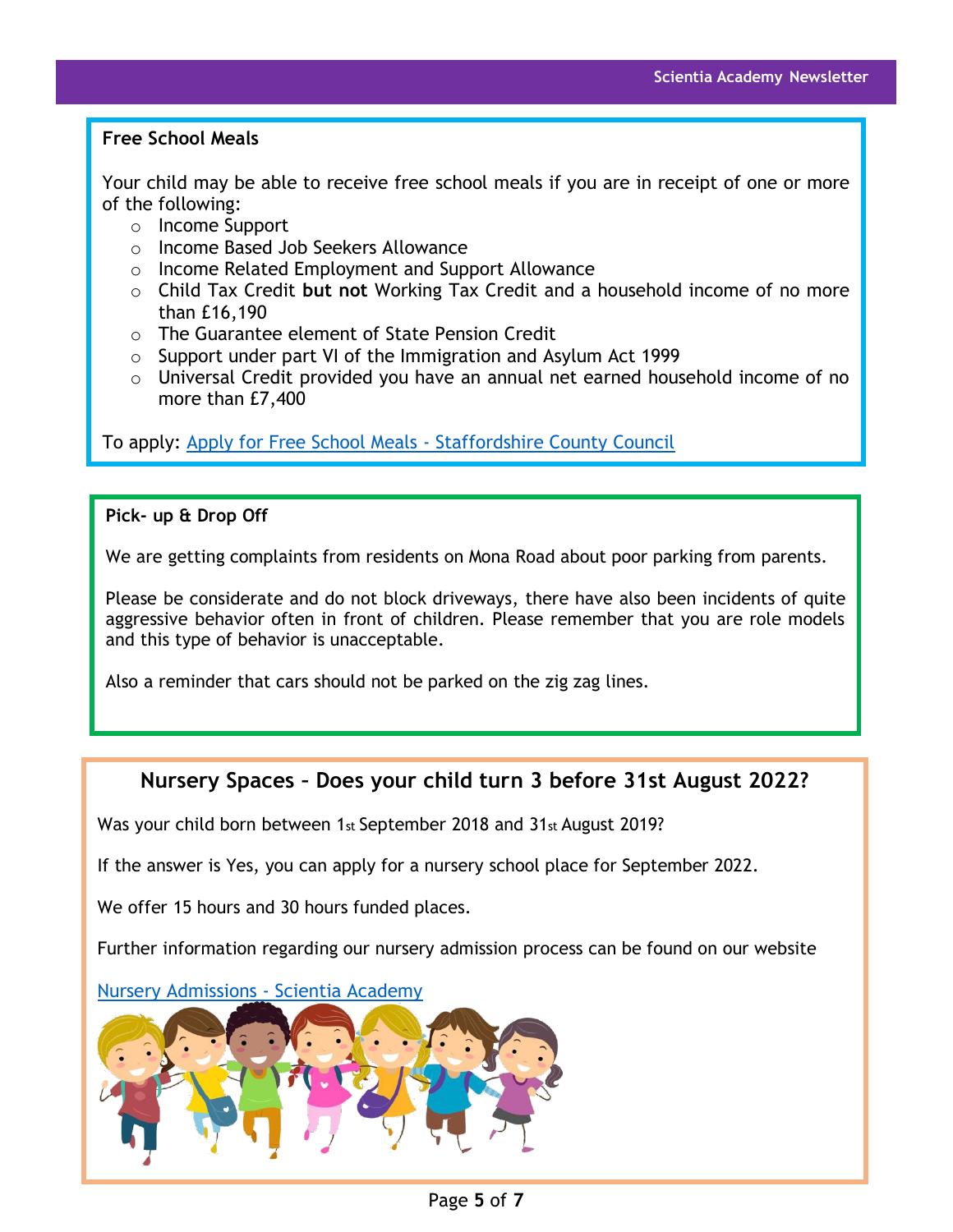#### **Free School Meals**

Your child may be able to receive free school meals if you are in receipt of one or more of the following:

- o Income Support
- o Income Based Job Seekers Allowance
- o Income Related Employment and Support Allowance
- o Child Tax Credit **but not** Working Tax Credit and a household income of no more than £16,190
- o The Guarantee element of State Pension Credit
- o Support under part VI of the Immigration and Asylum Act 1999
- o Universal Credit provided you have an annual net earned household income of no more than £7,400

To apply: [Apply for Free School Meals -](https://apps2.staffordshire.gov.uk/web/fsmweb/) Staffordshire County Council

#### **Pick- up & Drop Off**

We are getting complaints from residents on Mona Road about poor parking from parents.

Please be considerate and do not block driveways, there have also been incidents of quite aggressive behavior often in front of children. Please remember that you are role models and this type of behavior is unacceptable.

Also a reminder that cars should not be parked on the zig zag lines.

## **Nursery Spaces – Does your child turn 3 before 31st August 2022?**

Was your child born between 1st September 2018 and 31st August 2019?

If the answer is Yes, you can apply for a nursery school place for September 2022.

We offer 15 hours and 30 hours funded places.

Further information regarding our nursery admission process can be found on our website

#### [Nursery Admissions -](https://www.scientiaacademy.co.uk/parents-and-community/admissions-2/) Scientia Academy

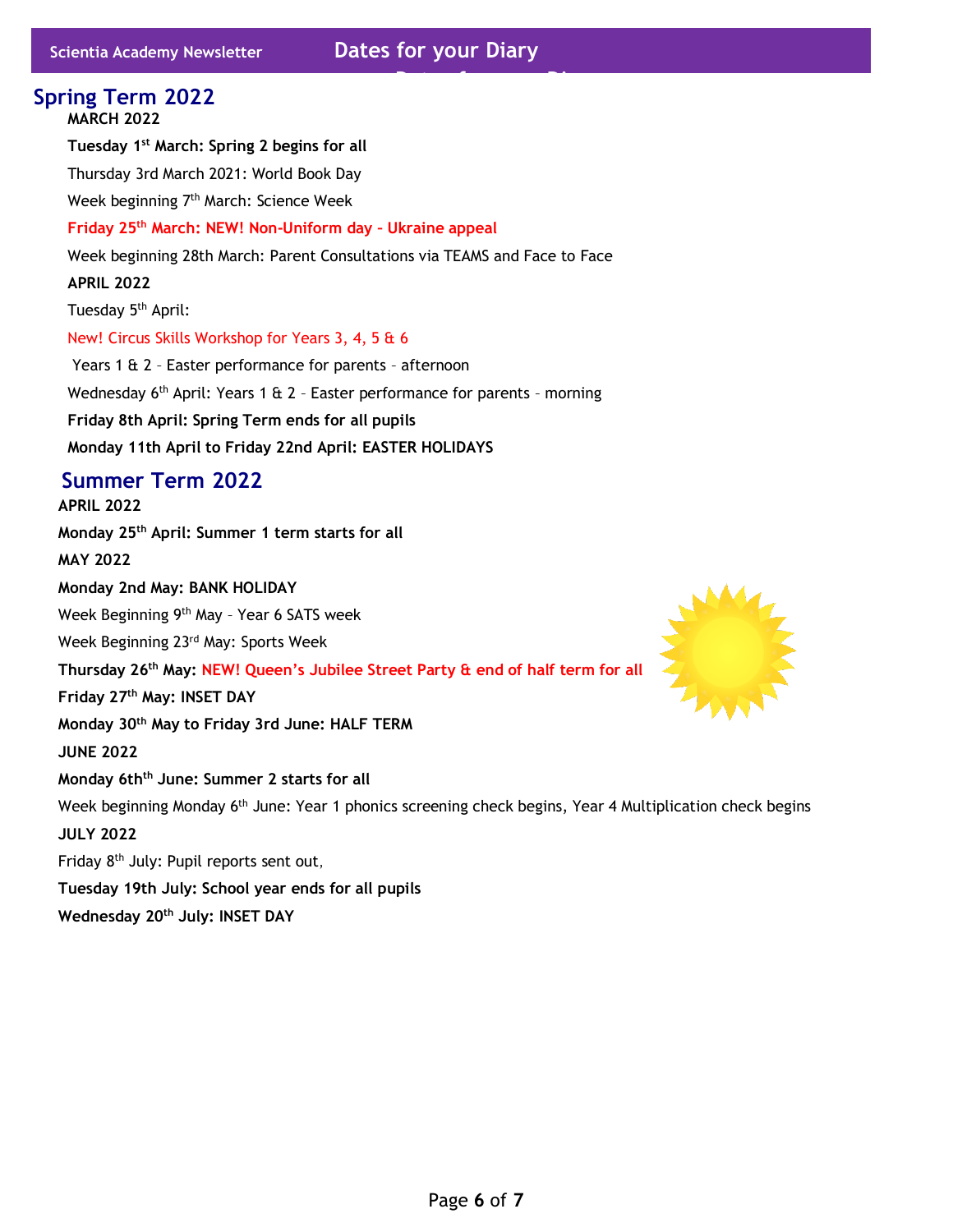# **Dates for your Diary MARCH 2022 Tuesday 1st March: Spring 2 begins for all** Thursday 3rd March 2021: World Book Day Week beginning 7<sup>th</sup> March: Science Week **Friday 25th March: NEW! Non-Uniform day – Ukraine appeal** Week beginning 28th March: Parent Consultations via TEAMS and Face to Face **APRIL 2022** Tuesday 5<sup>th</sup> April: New! Circus Skills Workshop for Years 3, 4, 5 & 6 Years 1 & 2 – Easter performance for parents – afternoon Wednesday 6<sup>th</sup> April: Years 1 & 2 - Easter performance for parents - morning **Friday 8th April: Spring Term ends for all pupils Monday 11th April to Friday 22nd April: EASTER HOLIDAYS Spring Term 2022 APRIL 2022 Monday 25th April: Summer 1 term starts for all MAY 2022 Monday 2nd May: BANK HOLIDAY** Week Beginning 9<sup>th</sup> May - Year 6 SATS week Week Beginning 23<sup>rd</sup> May: Sports Week **Thursday 26th May: NEW! Queen's Jubilee Street Party & end of half term for all Friday 27 th May: INSET DAY Monday 30 th May to Friday 3rd June: HALF TERM JUNE 2022 Monday 6thth June: Summer 2 starts for all** Week beginning Monday 6<sup>th</sup> June: Year 1 phonics screening check begins, Year 4 Multiplication check begins **JULY 2022** Friday 8<sup>th</sup> July: Pupil reports sent out, **Summer Term 2022**

**Tuesday 19th July: School year ends for all pupils Wednesday 20th July: INSET DAY**